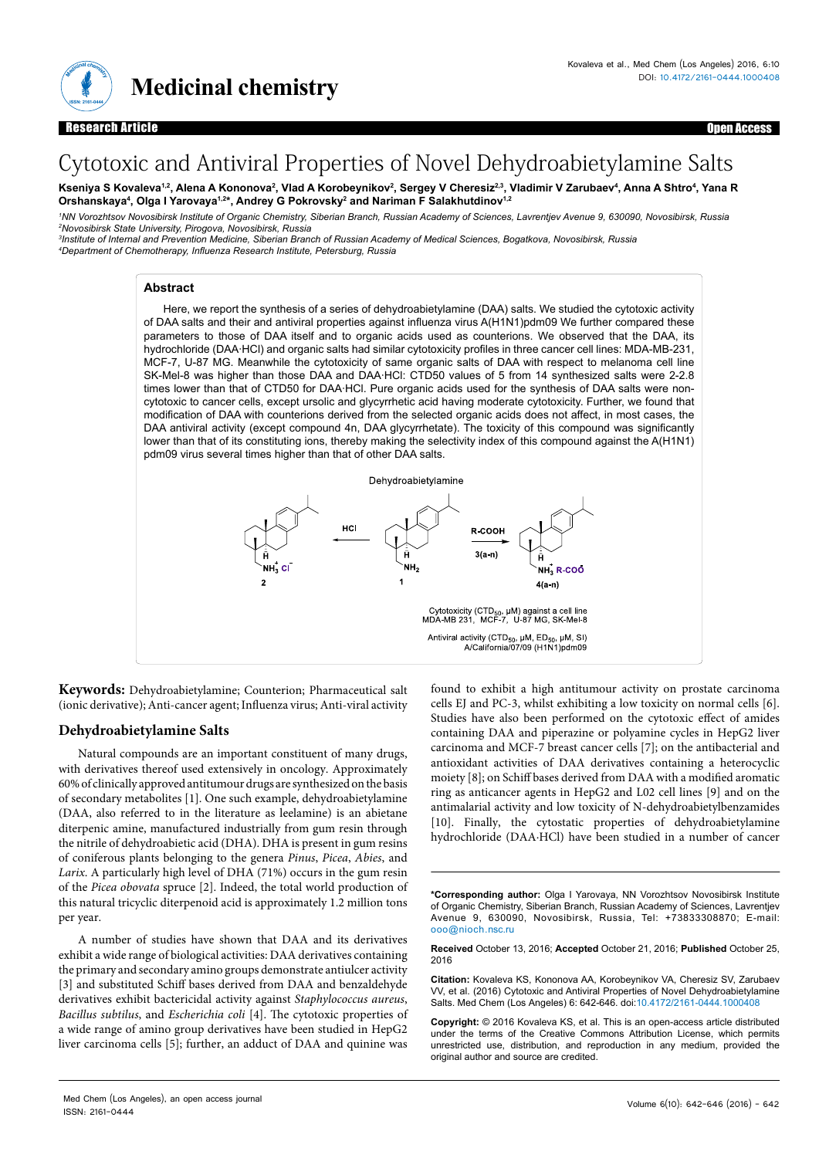

**Open Access** 

# Cytotoxic and Antiviral Properties of Novel Dehydroabietylamine Salts

Kseniya S Kovaleva<sup>1.2</sup>, Alena A Kononova<sup>2</sup>, Vlad A Korobeynikov<sup>2</sup>, Sergey V Cheresiz<sup>2.3</sup>, Vladimir V Zarubaev<sup>4</sup>, Anna A Shtro<sup>4</sup>, Yana R Orshanskaya<sup>4</sup>, Olga I Yarovaya<sup>1,2</sup>\*, Andrey G Pokrovsky<sup>2</sup> and Nariman F Salakhutdinov<sup>1.2</sup>

*1 NN Vorozhtsov Novosibirsk Institute of Organic Chemistry, Siberian Branch, Russian Academy of Sciences, Lavrentjev Avenue 9, 630090, Novosibirsk, Russia 2 Novosibirsk State University, Pirogova, Novosibirsk, Russia* 

*3 Institute of Internal and Prevention Medicine, Siberian Branch of Russian Academy of Medical Sciences, Bogatkova, Novosibirsk, Russia 4 Department of Chemotherapy, Influenza Research Institute, Petersburg, Russia*

## **Abstract**

Here, we report the synthesis of a series of dehydroabietylamine (DAA) salts. We studied the cytotoxic activity of DAA salts and their and antiviral properties against influenza virus A(H1N1)pdm09 We further compared these parameters to those of DAA itself and to organic acids used as counterions. We observed that the DAA, its hydrochloride (DAA∙HCl) and organic salts had similar cytotoxicity profiles in three cancer cell lines: MDA-MB-231, MCF-7, U-87 MG. Meanwhile the cytotoxicity of same organic salts of DAA with respect to melanoma cell line SK-Mel-8 was higher than those DAA and DAA∙HCl: CTD50 values of 5 from 14 synthesized salts were 2-2.8 times lower than that of CTD50 for DAA⋅HCl. Pure organic acids used for the synthesis of DAA salts were noncytotoxic to cancer cells, except ursolic and glycyrrhetic acid having moderate cytotoxicity. Further, we found that modification of DAA with counterions derived from the selected organic acids does not affect, in most cases, the DAA antiviral activity (except compound 4n, DAA glycyrrhetate). The toxicity of this compound was significantly lower than that of its constituting ions, thereby making the selectivity index of this compound against the A(H1N1) pdm09 virus several times higher than that of other DAA salts.



**Keywords:** Dehydroabietylamine; Counterion; Pharmaceutical salt (ionic derivative); Anti-cancer agent; Influenza virus; Anti-viral activity

# **Dehydroabietylamine Salts**

Natural compounds are an important constituent of many drugs, with derivatives thereof used extensively in oncology. Approximately 60% of clinically approved antitumour drugs are synthesized on the basis of secondary metabolites [1]. One such example, dehydroabietylamine (DAA, also referred to in the literature as leelamine) is an abietane diterpenic amine, manufactured industrially from gum resin through the nitrile of dehydroabietic acid (DHA). DHA is present in gum resins of coniferous plants belonging to the genera *Pinus*, *Picea*, *Abies*, and *Larix*. A particularly high level of DHA (71%) occurs in the gum resin of the *Picea obovata* spruce [2]. Indeed, the total world production of this natural tricyclic diterpenoid acid is approximately 1.2 million tons per year.

A number of studies have shown that DAA and its derivatives exhibit a wide range of biological activities: DAA derivatives containing the primary and secondary amino groups demonstrate antiulcer activity [3] and substituted Schiff bases derived from DAA and benzaldehyde derivatives exhibit bactericidal activity against *Staphylococcus aureus*, *Bacillus subtilus*, and *Escherichia coli* [4]. The cytotoxic properties of a wide range of amino group derivatives have been studied in HepG2 liver carcinoma cells [5]; further, an adduct of DAA and quinine was found to exhibit a high antitumour activity on prostate carcinoma cells EJ and PC-3, whilst exhibiting a low toxicity on normal cells [6]. Studies have also been performed on the cytotoxic effect of amides containing DAA and piperazine or polyamine cycles in HepG2 liver carcinoma and MCF-7 breast cancer cells [7]; on the antibacterial and antioxidant activities of DAA derivatives containing a heterocyclic moiety [8]; on Schiff bases derived from DAA with a modified aromatic ring as anticancer agents in HepG2 and L02 cell lines [9] and on the antimalarial activity and low toxicity of N-dehydroabietylbenzamides [10]. Finally, the cytostatic properties of dehydroabietylamine hydrochloride (DAA∙HCl) have been studied in a number of cancer

**\*Corresponding author:** Olga I Yarovaya, NN Vorozhtsov Novosibirsk Institute of Organic Chemistry, Siberian Branch, Russian Academy of Sciences, Lavrentjev Avenue 9, 630090, Novosibirsk, Russia, Tel: +73833308870; E-mail: ooo@nioch.nsc.ru

**Received** October 13, 2016; **Accepted** October 21, 2016; **Published** October 25, 2016

**Citation:** Kovaleva KS, Kononova AA, Korobeynikov VA, Cheresiz SV, Zarubaev VV, et al. (2016) Cytotoxic and Antiviral Properties of Novel Dehydroabietylamine Salts. Med Chem (Los Angeles) 6: 642-646. doi:10.4172/2161-0444.1000408

**Copyright:** © 2016 Kovaleva KS, et al. This is an open-access article distributed under the terms of the Creative Commons Attribution License, which permits unrestricted use, distribution, and reproduction in any medium, provided the original author and source are credited.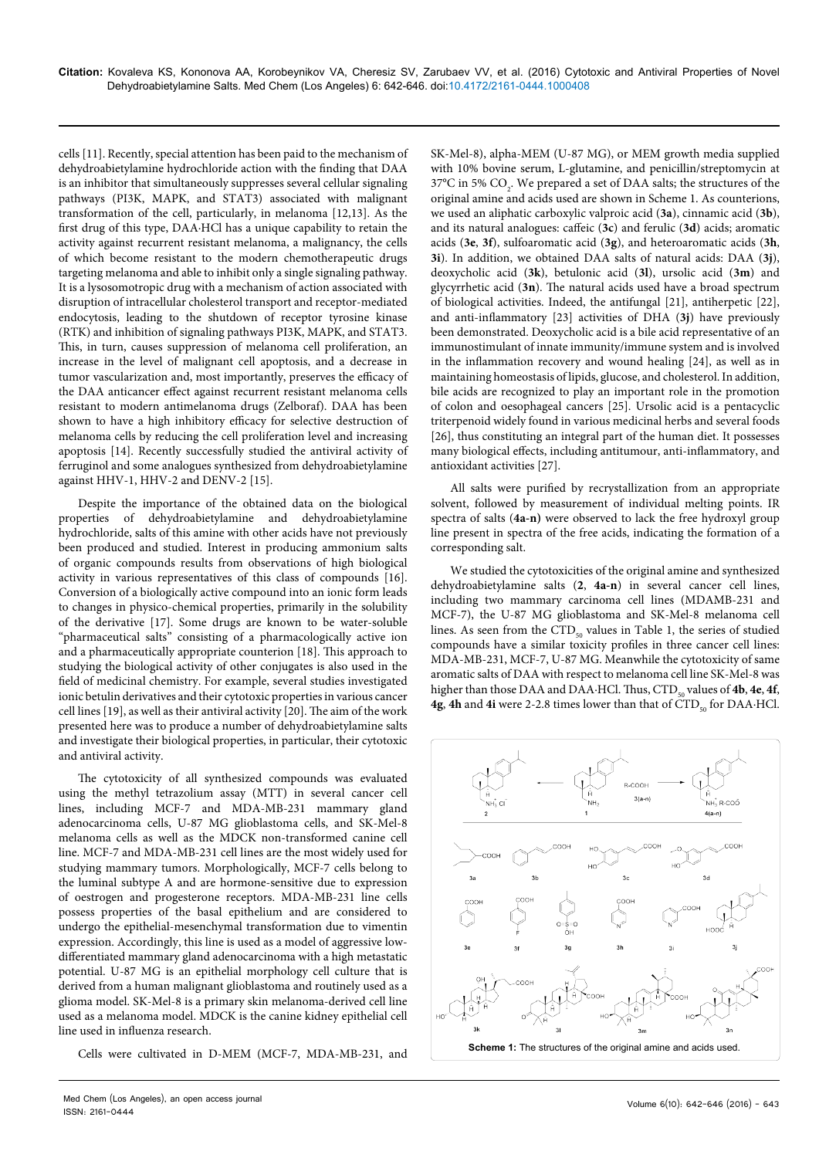cells [11]. Recently, special attention has been paid to the mechanism of dehydroabietylamine hydrochloride action with the finding that DAA is an inhibitor that simultaneously suppresses several cellular signaling pathways (PI3K, MAPK, and STAT3) associated with malignant transformation of the cell, particularly, in melanoma [12,13]. As the first drug of this type, DAA∙HCl has a unique capability to retain the activity against recurrent resistant melanoma, a malignancy, the cells of which become resistant to the modern chemotherapeutic drugs targeting melanoma and able to inhibit only a single signaling pathway. It is a lysosomotropic drug with a mechanism of action associated with disruption of intracellular cholesterol transport and receptor-mediated endocytosis, leading to the shutdown of receptor tyrosine kinase (RTK) and inhibition of signaling pathways PI3K, MAPK, and STAT3. This, in turn, causes suppression of melanoma cell proliferation, an increase in the level of malignant cell apoptosis, and a decrease in tumor vascularization and, most importantly, preserves the efficacy of the DAA anticancer effect against recurrent resistant melanoma cells resistant to modern antimelanoma drugs (Zelboraf). DAA has been shown to have a high inhibitory efficacy for selective destruction of melanoma cells by reducing the cell proliferation level and increasing apoptosis [14]. Recently successfully studied the antiviral activity of ferruginol and some analogues synthesized from dehydroabietylamine against HHV-1, HHV-2 and DENV-2 [15].

Despite the importance of the obtained data on the biological properties of dehydroabietylamine and dehydroabietylamine hydrochloride, salts of this amine with other acids have not previously been produced and studied. Interest in producing ammonium salts of organic compounds results from observations of high biological activity in various representatives of this class of compounds [16]. Conversion of a biologically active compound into an ionic form leads to changes in physico-chemical properties, primarily in the solubility of the derivative [17]. Some drugs are known to be water-soluble "pharmaceutical salts" consisting of a pharmacologically active ion and a pharmaceutically appropriate counterion [18]. This approach to studying the biological activity of other conjugates is also used in the field of medicinal chemistry. For example, several studies investigated ionic betulin derivatives and their cytotoxic properties in various cancer cell lines [19], as well as their antiviral activity [20]. The aim of the work presented here was to produce a number of dehydroabietylamine salts and investigate their biological properties, in particular, their cytotoxic and antiviral activity.

The cytotoxicity of all synthesized compounds was evaluated using the methyl tetrazolium assay (MTT) in several cancer cell lines, including MCF-7 and MDA-MB-231 mammary gland adenocarcinoma cells, U-87 MG glioblastoma cells, and SK-Mel-8 melanoma cells as well as the MDCK non-transformed canine cell line. MCF-7 and MDA-MB-231 cell lines are the most widely used for studying mammary tumors. Morphologically, MCF-7 cells belong to the luminal subtype A and are hormone-sensitive due to expression of oestrogen and progesterone receptors. MDA-MB-231 line cells possess properties of the basal epithelium and are considered to undergo the epithelial-mesenchymal transformation due to vimentin expression. Accordingly, this line is used as a model of aggressive lowdifferentiated mammary gland adenocarcinoma with a high metastatic potential. U-87 MG is an epithelial morphology cell culture that is derived from a human malignant glioblastoma and routinely used as a glioma model. SK-Mel-8 is a primary skin melanoma-derived cell line used as a melanoma model. MDCK is the canine kidney epithelial cell line used in influenza research.

Cells were cultivated in D-MEM (MCF-7, MDA-MB-231, and

SK-Mel-8), alpha-MEM (U-87 MG), or MEM growth media supplied with 10% bovine serum, L-glutamine, and penicillin/streptomycin at 37°C in 5%  $CO<sub>2</sub>$ . We prepared a set of DAA salts; the structures of the original amine and acids used are shown in Scheme 1. As counterions, we used an aliphatic carboxylic valproic acid (**3a**), cinnamic acid (**3b**), and its natural analogues: caffeic (**3c**) and ferulic (**3d**) acids; aromatic acids (**3e**, **3f**), sulfoaromatic acid (**3g**), and heteroaromatic acids (**3h**, **3i**). In addition, we obtained DAA salts of natural acids: DAA (**3j**), deoxycholic acid (**3k**), betulonic acid (**3l**), ursolic acid (**3m**) and glycyrrhetic acid (**3n**). The natural acids used have a broad spectrum of biological activities. Indeed, the antifungal [21], antiherpetic [22], and anti-inflammatory [23] activities of DHA (**3j**) have previously been demonstrated. Deoxycholic acid is a bile acid representative of an immunostimulant of innate immunity/immune system and is involved in the inflammation recovery and wound healing [24], as well as in maintaining homeostasis of lipids, glucose, and cholesterol. In addition, bile acids are recognized to play an important role in the promotion of colon and oesophageal cancers [25]. Ursolic acid is a pentacyclic triterpenoid widely found in various medicinal herbs and several foods [26], thus constituting an integral part of the human diet. It possesses many biological effects, including antitumour, anti-inflammatory, and antioxidant activities [27].

All salts were purified by recrystallization from an appropriate solvent, followed by measurement of individual melting points. IR spectra of salts (**4a-n)** were observed to lack the free hydroxyl group line present in spectra of the free acids, indicating the formation of a corresponding salt.

We studied the cytotoxicities of the original amine and synthesized dehydroabietylamine salts (**2**, **4a-n**) in several cancer cell lines, including two mammary carcinoma cell lines (MDAMB-231 and MCF-7), the U-87 MG glioblastoma and SK-Mel-8 melanoma cell lines. As seen from the  $\text{CTD}_{50}$  values in Table 1, the series of studied compounds have a similar toxicity profiles in three cancer cell lines: MDA-MB-231, MCF-7, U-87 MG. Meanwhile the cytotoxicity of same aromatic salts of DAA with respect to melanoma cell line SK-Mel-8 was higher than those DAA and DAA∙HCl. Thus, CTD<sub>50</sub> values of 4b, 4e, 4f, **4g, 4h and 4i** were 2-2.8 times lower than that of CTD<sub>50</sub> for DAA⋅HCl.

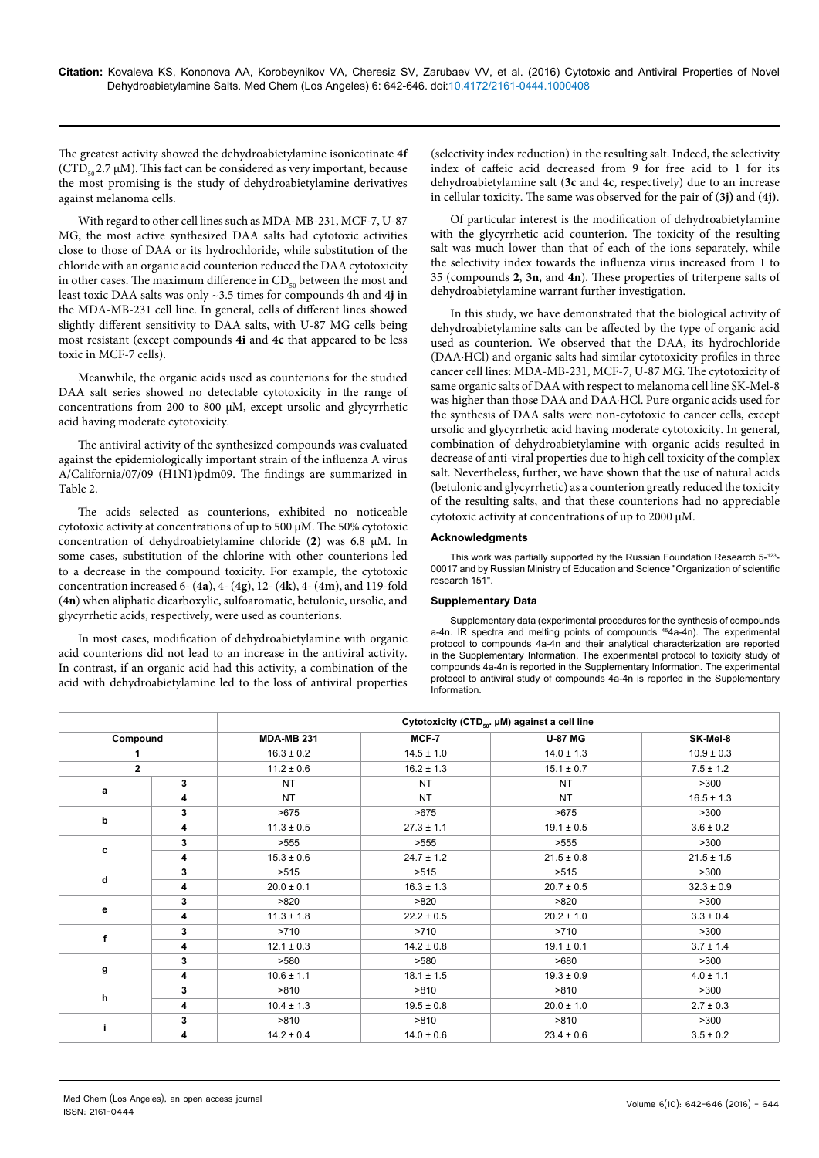The greatest activity showed the dehydroabietylamine isonicotinate **4f**   $(CTD<sub>50</sub>2.7 \mu M)$ . This fact can be considered as very important, because the most promising is the study of dehydroabietylamine derivatives against melanoma cells.

With regard to other cell lines such as MDA-MB-231, MCF-7, U-87 MG, the most active synthesized DAA salts had cytotoxic activities close to those of DAA or its hydrochloride, while substitution of the chloride with an organic acid counterion reduced the DAA cytotoxicity in other cases. The maximum difference in  $CD<sub>50</sub>$  between the most and least toxic DAA salts was only ~3.5 times for compounds **4h** and **4j** in the MDA-MB-231 cell line. In general, cells of different lines showed slightly different sensitivity to DAA salts, with U-87 MG cells being most resistant (except compounds **4i** and **4c** that appeared to be less toxic in MCF-7 cells).

Meanwhile, the organic acids used as counterions for the studied DAA salt series showed no detectable cytotoxicity in the range of concentrations from 200 to 800 μM, except ursolic and glycyrrhetic acid having moderate cytotoxicity.

The antiviral activity of the synthesized compounds was evaluated against the epidemiologically important strain of the influenza A virus A/California/07/09 (H1N1)pdm09. The findings are summarized in Table 2.

The acids selected as counterions, exhibited no noticeable cytotoxic activity at concentrations of up to 500 µM. The 50% cytotoxic concentration of dehydroabietylamine chloride (**2**) was 6.8 µM. In some cases, substitution of the chlorine with other counterions led to a decrease in the compound toxicity. For example, the cytotoxic concentration increased 6- (**4a**), 4- (**4g**), 12- (**4k**), 4- (**4m**), and 119-fold (**4n**) when aliphatic dicarboxylic, sulfoaromatic, betulonic, ursolic, and glycyrrhetic acids, respectively, were used as counterions.

In most cases, modification of dehydroabietylamine with organic acid counterions did not lead to an increase in the antiviral activity. In contrast, if an organic acid had this activity, a combination of the acid with dehydroabietylamine led to the loss of antiviral properties

(selectivity index reduction) in the resulting salt. Indeed, the selectivity index of caffeic acid decreased from 9 for free acid to 1 for its dehydroabietylamine salt (**3c** and **4c**, respectively) due to an increase in cellular toxicity. The same was observed for the pair of (**3j)** and (**4j)**.

Of particular interest is the modification of dehydroabietylamine with the glycyrrhetic acid counterion. The toxicity of the resulting salt was much lower than that of each of the ions separately, while the selectivity index towards the influenza virus increased from 1 to 35 (compounds **2**, **3n**, and **4n**). These properties of triterpene salts of dehydroabietylamine warrant further investigation.

In this study, we have demonstrated that the biological activity of dehydroabietylamine salts can be affected by the type of organic acid used as counterion. We observed that the DAA, its hydrochloride (DAA∙HCl) and organic salts had similar cytotoxicity profiles in three cancer cell lines: MDA-MB-231, MCF-7, U-87 MG. The cytotoxicity of same organic salts of DAA with respect to melanoma cell line SK-Mel-8 was higher than those DAA and DAA∙HCl. Pure organic acids used for the synthesis of DAA salts were non-cytotoxic to cancer cells, except ursolic and glycyrrhetic acid having moderate cytotoxicity. In general, combination of dehydroabietylamine with organic acids resulted in decrease of anti-viral properties due to high cell toxicity of the complex salt. Nevertheless, further, we have shown that the use of natural acids (betulonic and glycyrrhetic) as a counterion greatly reduced the toxicity of the resulting salts, and that these counterions had no appreciable cytotoxic activity at concentrations of up to 2000 µM.

### **Acknowledgments**

This work was partially supported by the Russian Foundation Research 5-123-00017 and by Russian Ministry of Education and Science "Organization of scientific research 151".

#### **Supplementary Data**

Supplementary data (experimental procedures for the synthesis of compounds a-4n. IR spectra and melting points of compounds <sup>45</sup>4a-4n). The experimental protocol to compounds 4a-4n and their analytical characterization are reported in the Supplementary Information. The experimental protocol to toxicity study of compounds 4a-4n is reported in the Supplementary Information. The experimental protocol to antiviral study of compounds 4a-4n is reported in the Supplementary Information.

|                         |   | Cytotoxicity (CTD <sub>50</sub> . µM) against a cell line |                |                |                |  |
|-------------------------|---|-----------------------------------------------------------|----------------|----------------|----------------|--|
| Compound                |   | <b>MDA-MB 231</b>                                         | MCF-7          | <b>U-87 MG</b> | SK-Mel-8       |  |
|                         |   | $16.3 \pm 0.2$                                            | $14.5 \pm 1.0$ | $14.0 \pm 1.3$ | $10.9 \pm 0.3$ |  |
| $\overline{\mathbf{2}}$ |   | $11.2 \pm 0.6$                                            | $16.2 \pm 1.3$ | $15.1 \pm 0.7$ | $7.5 \pm 1.2$  |  |
| a                       | 3 | NT                                                        | <b>NT</b>      | <b>NT</b>      | >300           |  |
|                         | 4 | <b>NT</b>                                                 | <b>NT</b>      | <b>NT</b>      | $16.5 \pm 1.3$ |  |
| b                       | 3 | >675                                                      | >675           | >675           | >300           |  |
|                         | 4 | $11.3 \pm 0.5$                                            | $27.3 \pm 1.1$ | $19.1 \pm 0.5$ | $3.6 \pm 0.2$  |  |
| c                       | 3 | >555                                                      | >555           | >555           | >300           |  |
|                         | 4 | $15.3 \pm 0.6$                                            | $24.7 \pm 1.2$ | $21.5 \pm 0.8$ | $21.5 \pm 1.5$ |  |
| d                       | 3 | >515                                                      | >515           | >515           | >300           |  |
|                         | 4 | $20.0 \pm 0.1$                                            | $16.3 \pm 1.3$ | $20.7 \pm 0.5$ | $32.3 \pm 0.9$ |  |
|                         | 3 | >820                                                      | >820           | >820           | >300           |  |
| е                       | 4 | $11.3 \pm 1.8$                                            | $22.2 \pm 0.5$ | $20.2 \pm 1.0$ | $3.3 \pm 0.4$  |  |
| f                       | 3 | >710                                                      | >710           | >710           | >300           |  |
|                         | 4 | $12.1 \pm 0.3$                                            | $14.2 \pm 0.8$ | $19.1 \pm 0.1$ | $3.7 \pm 1.4$  |  |
| g                       | 3 | >580                                                      | >580           | >680           | >300           |  |
|                         | 4 | $10.6 \pm 1.1$                                            | $18.1 \pm 1.5$ | $19.3 \pm 0.9$ | $4.0 \pm 1.1$  |  |
| h                       | 3 | >810                                                      | >810           | >810           | >300           |  |
|                         | 4 | $10.4 \pm 1.3$                                            | $19.5 \pm 0.8$ | $20.0 \pm 1.0$ | $2.7 \pm 0.3$  |  |
|                         | 3 | >810                                                      | >810           | >810           | >300           |  |
|                         | 4 | $14.2 \pm 0.4$                                            | $14.0 \pm 0.6$ | $23.4 \pm 0.6$ | $3.5 \pm 0.2$  |  |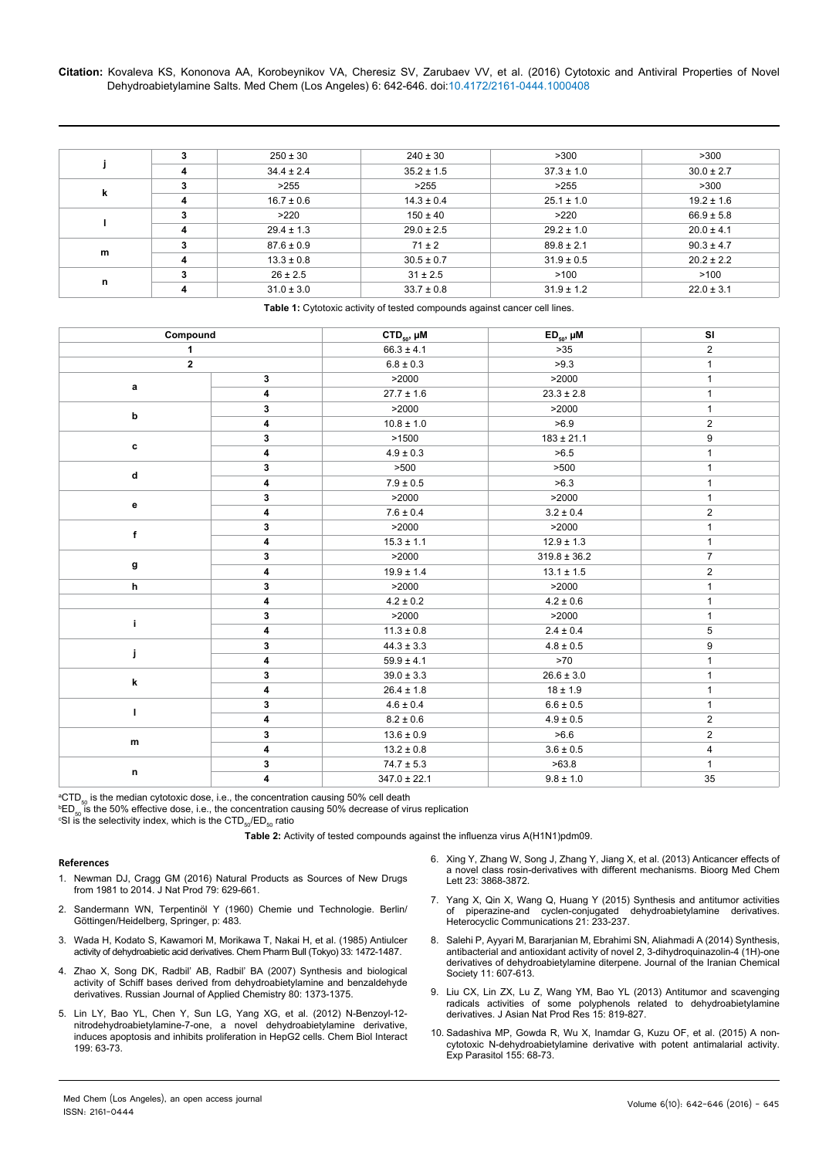**Citation:** Kovaleva KS, Kononova AA, Korobeynikov VA, Cheresiz SV, Zarubaev VV, et al. (2016) Cytotoxic and Antiviral Properties of Novel Dehydroabietylamine Salts. Med Chem (Los Angeles) 6: 642-646. doi:10.4172/2161-0444.1000408

|   | 3 | $250 \pm 30$   | $240 \pm 30$   | >300           | >300           |
|---|---|----------------|----------------|----------------|----------------|
|   | 4 | $34.4 \pm 2.4$ | $35.2 \pm 1.5$ | $37.3 \pm 1.0$ | $30.0 \pm 2.7$ |
| k | 3 | >255           | >255           | >255           | >300           |
|   | 4 | $16.7 \pm 0.6$ | $14.3 \pm 0.4$ | $25.1 \pm 1.0$ | $19.2 \pm 1.6$ |
|   | 3 | >220           | $150 \pm 40$   | >220           | $66.9 \pm 5.8$ |
|   | 4 | $29.4 \pm 1.3$ | $29.0 \pm 2.5$ | $29.2 \pm 1.0$ | $20.0 \pm 4.1$ |
| m | 3 | $87.6 \pm 0.9$ | $71 \pm 2$     | $89.8 \pm 2.1$ | $90.3 \pm 4.7$ |
|   | 4 | $13.3 \pm 0.8$ | $30.5 \pm 0.7$ | $31.9 \pm 0.5$ | $20.2 \pm 2.2$ |
| n | 3 | $26 \pm 2.5$   | $31 \pm 2.5$   | >100           | >100           |
|   | 4 | $31.0 \pm 3.0$ | $33.7 \pm 0.8$ | $31.9 \pm 1.2$ | $22.0 \pm 3.1$ |

**Table 1:** Cytotoxic activity of tested compounds against cancer cell lines.

| Compound     |                         | CTD <sub>50</sub> , µM | $ED_{50}$ , $µM$ | SI             |
|--------------|-------------------------|------------------------|------------------|----------------|
| 1            |                         | $66.3 \pm 4.1$         | $>35$            | $\overline{2}$ |
| $\mathbf{2}$ |                         | $6.8 \pm 0.3$          | >9.3             | $\mathbf{1}$   |
|              | 3                       | >2000                  | >2000            |                |
| a            | $\overline{\mathbf{4}}$ | $27.7 \pm 1.6$         | $23.3 \pm 2.8$   | 1              |
| b            | 3                       | >2000                  | >2000            | $\mathbf{1}$   |
|              | 4                       | $10.8 \pm 1.0$         | >6.9             | $\overline{2}$ |
|              | 3                       | >1500                  | $183 \pm 21.1$   | 9              |
| c            | 4                       | $4.9 \pm 0.3$          | >6.5             | 1              |
|              | 3                       | >500                   | >500             | 1              |
| d            | 4                       | $7.9 \pm 0.5$          | >6.3             | $\mathbf{1}$   |
| е            | 3                       | >2000                  | >2000            | 1              |
|              | 4                       | $7.6 \pm 0.4$          | $3.2 \pm 0.4$    | $\overline{2}$ |
| f            | 3                       | >2000                  | >2000            | 1              |
|              | 4                       | $15.3 \pm 1.1$         | $12.9 \pm 1.3$   | $\mathbf{1}$   |
|              | 3                       | >2000                  | $319.8 \pm 36.2$ | $\overline{7}$ |
| g            | 4                       | $19.9 \pm 1.4$         | $13.1 \pm 1.5$   | $\overline{c}$ |
| h            | 3                       | >2000                  | >2000            | 1              |
|              | 4                       | $4.2 \pm 0.2$          | $4.2 \pm 0.6$    | $\mathbf{1}$   |
| i.           | 3                       | >2000                  | >2000            | 1              |
|              | 4                       | $11.3 \pm 0.8$         | $2.4 \pm 0.4$    | 5              |
|              | 3                       | $44.3 \pm 3.3$         | $4.8 \pm 0.5$    | 9              |
| j.           | 4                       | $59.9 \pm 4.1$         | $>70$            |                |
| k            | 3                       | $39.0 \pm 3.3$         | $26.6 \pm 3.0$   | $\mathbf{1}$   |
|              | 4                       | $26.4 \pm 1.8$         | $18 \pm 1.9$     | 1              |
| г            | 3                       | $4.6 \pm 0.4$          | $6.6 \pm 0.5$    | $\mathbf{1}$   |
|              | 4                       | $8.2 \pm 0.6$          | $4.9 \pm 0.5$    | $\overline{c}$ |
|              | 3                       | $13.6 \pm 0.9$         | >6.6             | $\overline{2}$ |
| m            | 4                       | $13.2 \pm 0.8$         | $3.6 \pm 0.5$    | 4              |
|              | 3                       | $74.7 \pm 5.3$         | >63.8            | $\mathbf{1}$   |
| n            | 4                       | $347.0 \pm 22.1$       | $9.8 \pm 1.0$    | 35             |

ªCTD<sub>50</sub> is the median cytotoxic dose, i.e., the concentration causing 50% cell death<br><sup>b</sup>ED , is the 50% effective dose, i.e., the concentration causing 50% decrease of vi

<sup>b</sup>ED<sub>50</sub> is the 50% effective dose, i.e., the concentration causing 50% decrease of virus replication

SI is the selectivity index, which is the CTD<sub>50</sub>/ED<sub>50</sub> ratio

**Table 2:** Activity of tested compounds against the influenza virus A(H1N1)pdm09.

## **References**

- 1. [Newman DJ, Cragg GM \(2016\) Natural Products as Sources of New Drugs](http://pubs.acs.org/doi/abs/10.1021/acs.jnatprod.5b01055) [from 1981 to 2014. J Nat Prod 79: 629-661.](http://pubs.acs.org/doi/abs/10.1021/acs.jnatprod.5b01055)
- 2. [Sandermann WN, Terpentinöl Y \(1960\) Chemie und Technologie. Berlin/](http://www.bcin.ca/Interface/openbcin.cgi?submit=submit&Chinkey=64631) [Göttingen/Heidelberg, Springer, p: 483.](http://www.bcin.ca/Interface/openbcin.cgi?submit=submit&Chinkey=64631)
- 3. [Wada H, Kodato S, Kawamori M, Morikawa T, Nakai H, et al. \(1985\) Antiulcer](http://jlc.jst.go.jp/DN/JALC/00170354316?from=Google) [activity of dehydroabietic acid derivatives. Chem Pharm Bull \(Tokyo\) 33: 1472-1487.](http://jlc.jst.go.jp/DN/JALC/00170354316?from=Google)
- 4. [Zhao X, Song DK, Radbil' AB, Radbil' BA \(2007\) Synthesis and biological](http://www.springerlink.com/index/43262km5231158x7.pdf) [activity of Schiff bases derived from dehydroabietylamine and benzaldehyde](http://www.springerlink.com/index/43262km5231158x7.pdf) [derivatives. Russian Journal of Applied Chemistry 80: 1373-1375.](http://www.springerlink.com/index/43262km5231158x7.pdf)
- 5. [Lin LY, Bao YL, Chen Y, Sun LG, Yang XG, et al. \(2012\) N-Benzoyl-12](http://www.sciencedirect.com/science/article/pii/S0009279712001019) [nitrodehydroabietylamine-7-one, a novel dehydroabietylamine derivative,](http://www.sciencedirect.com/science/article/pii/S0009279712001019) [induces apoptosis and inhibits proliferation in HepG2 cells. Chem Biol Interact](http://www.sciencedirect.com/science/article/pii/S0009279712001019) [199: 63-73.](http://www.sciencedirect.com/science/article/pii/S0009279712001019)
- 6. [Xing Y, Zhang W, Song J, Zhang Y, Jiang X, et al. \(2013\) Anticancer effects of](http://www.sciencedirect.com/science/article/pii/S0960894X13005593)  [a novel class rosin-derivatives with different mechanisms. Bioorg Med Chem](http://www.sciencedirect.com/science/article/pii/S0960894X13005593)  [Lett 23: 3868-3872.](http://www.sciencedirect.com/science/article/pii/S0960894X13005593)
- 7. [Yang X, Qin X, Wang Q, Huang Y \(2015\) Synthesis and antitumor activities](http://www.degruyter.com/view/j/hc.2015.21.issue-4/hc-2015-0025/hc-2015-0025.xml)  [of piperazine-and cyclen-conjugated dehydroabietylamine derivatives.](http://www.degruyter.com/view/j/hc.2015.21.issue-4/hc-2015-0025/hc-2015-0025.xml)  [Heterocyclic Communications 21: 233-237.](http://www.degruyter.com/view/j/hc.2015.21.issue-4/hc-2015-0025/hc-2015-0025.xml)
- 8. [Salehi P, Ayyari M, Bararjanian M, Ebrahimi SN, Aliahmadi A \(2014\) Synthesis,](http://link.springer.com/article/10.1007/s13738-013-0330-5)  [antibacterial and antioxidant activity of novel 2, 3-dihydroquinazolin-4 \(1H\)-one](http://link.springer.com/article/10.1007/s13738-013-0330-5)  [derivatives of dehydroabietylamine diterpene. Journal of the Iranian Chemical](http://link.springer.com/article/10.1007/s13738-013-0330-5)  [Society 11: 607-613.](http://link.springer.com/article/10.1007/s13738-013-0330-5)
- 9. [Liu CX, Lin ZX, Lu Z, Wang YM, Bao YL \(2013\) Antitumor and scavenging](http://www.tandfonline.com/doi/abs/10.1080/10286020.2013.808195)  [radicals activities of some polyphenols related to dehydroabietylamine](http://www.tandfonline.com/doi/abs/10.1080/10286020.2013.808195)  [derivatives. J Asian Nat Prod Res 15: 819-827.](http://www.tandfonline.com/doi/abs/10.1080/10286020.2013.808195)
- 10. [Sadashiva MP, Gowda R, Wu X, Inamdar G, Kuzu OF, et al. \(2015\) A non](http://www.sciencedirect.com/science/article/pii/S0014489415001265)[cytotoxic N-dehydroabietylamine derivative with potent antimalarial activity.](http://www.sciencedirect.com/science/article/pii/S0014489415001265)  [Exp Parasitol 155: 68-73.](http://www.sciencedirect.com/science/article/pii/S0014489415001265)